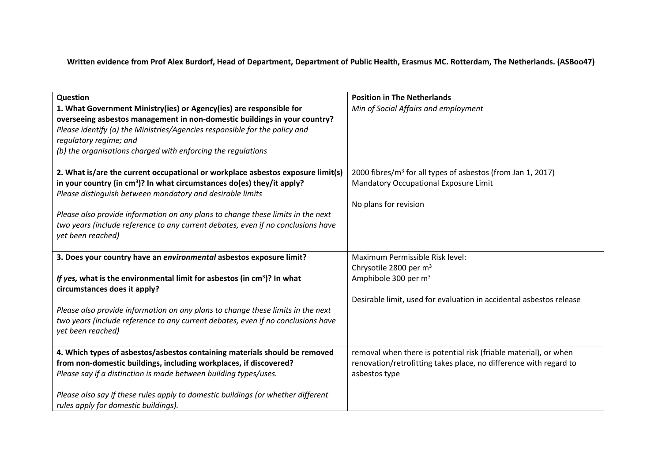Written evidence from Prof Alex Burdorf, Head of Department, Department of Public Health, Erasmus MC. Rotterdam, The Netherlands. (ASBoo47)

| Question                                                                                                                                                                                                                                                                                                                 | <b>Position in The Netherlands</b>                                      |
|--------------------------------------------------------------------------------------------------------------------------------------------------------------------------------------------------------------------------------------------------------------------------------------------------------------------------|-------------------------------------------------------------------------|
| 1. What Government Ministry(ies) or Agency(ies) are responsible for<br>overseeing asbestos management in non-domestic buildings in your country?<br>Please identify (a) the Ministries/Agencies responsible for the policy and<br>regulatory regime; and<br>(b) the organisations charged with enforcing the regulations | Min of Social Affairs and employment                                    |
| 2. What is/are the current occupational or workplace asbestos exposure limit(s)                                                                                                                                                                                                                                          | 2000 fibres/m <sup>3</sup> for all types of asbestos (from Jan 1, 2017) |
| in your country (in cm <sup>3</sup> )? In what circumstances do(es) they/it apply?<br>Please distinguish between mandatory and desirable limits                                                                                                                                                                          | Mandatory Occupational Exposure Limit                                   |
|                                                                                                                                                                                                                                                                                                                          | No plans for revision                                                   |
| Please also provide information on any plans to change these limits in the next                                                                                                                                                                                                                                          |                                                                         |
| two years (include reference to any current debates, even if no conclusions have<br>yet been reached)                                                                                                                                                                                                                    |                                                                         |
| 3. Does your country have an environmental asbestos exposure limit?                                                                                                                                                                                                                                                      | Maximum Permissible Risk level:                                         |
|                                                                                                                                                                                                                                                                                                                          | Chrysotile 2800 per m <sup>3</sup>                                      |
| If yes, what is the environmental limit for asbestos (in $cm3$ )? In what<br>circumstances does it apply?                                                                                                                                                                                                                | Amphibole 300 per m <sup>3</sup>                                        |
|                                                                                                                                                                                                                                                                                                                          | Desirable limit, used for evaluation in accidental asbestos release     |
| Please also provide information on any plans to change these limits in the next                                                                                                                                                                                                                                          |                                                                         |
| two years (include reference to any current debates, even if no conclusions have<br>yet been reached)                                                                                                                                                                                                                    |                                                                         |
| 4. Which types of asbestos/asbestos containing materials should be removed                                                                                                                                                                                                                                               | removal when there is potential risk (friable material), or when        |
| from non-domestic buildings, including workplaces, if discovered?                                                                                                                                                                                                                                                        | renovation/retrofitting takes place, no difference with regard to       |
| Please say if a distinction is made between building types/uses.                                                                                                                                                                                                                                                         | asbestos type                                                           |
| Please also say if these rules apply to domestic buildings (or whether different                                                                                                                                                                                                                                         |                                                                         |
| rules apply for domestic buildings).                                                                                                                                                                                                                                                                                     |                                                                         |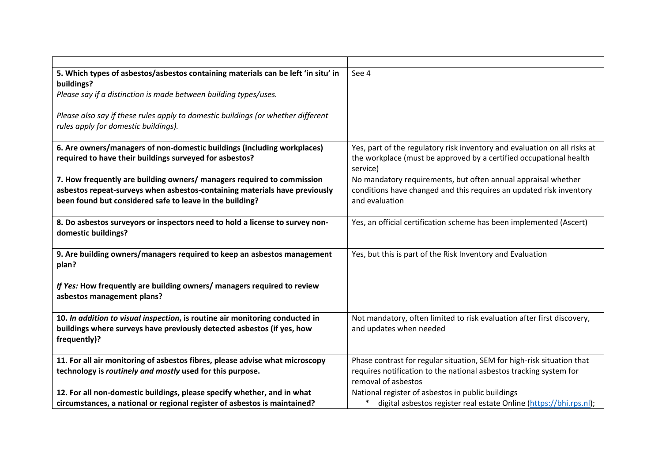| 5. Which types of asbestos/asbestos containing materials can be left 'in situ' in | See 4                                                                     |
|-----------------------------------------------------------------------------------|---------------------------------------------------------------------------|
| buildings?                                                                        |                                                                           |
| Please say if a distinction is made between building types/uses.                  |                                                                           |
|                                                                                   |                                                                           |
| Please also say if these rules apply to domestic buildings (or whether different  |                                                                           |
| rules apply for domestic buildings).                                              |                                                                           |
|                                                                                   |                                                                           |
| 6. Are owners/managers of non-domestic buildings (including workplaces)           | Yes, part of the regulatory risk inventory and evaluation on all risks at |
| required to have their buildings surveyed for asbestos?                           | the workplace (must be approved by a certified occupational health        |
|                                                                                   | service)                                                                  |
| 7. How frequently are building owners/ managers required to commission            | No mandatory requirements, but often annual appraisal whether             |
| asbestos repeat-surveys when asbestos-containing materials have previously        | conditions have changed and this requires an updated risk inventory       |
| been found but considered safe to leave in the building?                          | and evaluation                                                            |
|                                                                                   |                                                                           |
| 8. Do asbestos surveyors or inspectors need to hold a license to survey non-      | Yes, an official certification scheme has been implemented (Ascert)       |
| domestic buildings?                                                               |                                                                           |
|                                                                                   |                                                                           |
| 9. Are building owners/managers required to keep an asbestos management           | Yes, but this is part of the Risk Inventory and Evaluation                |
| plan?                                                                             |                                                                           |
|                                                                                   |                                                                           |
| If Yes: How frequently are building owners/ managers required to review           |                                                                           |
| asbestos management plans?                                                        |                                                                           |
|                                                                                   |                                                                           |
| 10. In addition to visual inspection, is routine air monitoring conducted in      | Not mandatory, often limited to risk evaluation after first discovery,    |
| buildings where surveys have previously detected asbestos (if yes, how            | and updates when needed                                                   |
| frequently)?                                                                      |                                                                           |
|                                                                                   |                                                                           |
| 11. For all air monitoring of asbestos fibres, please advise what microscopy      | Phase contrast for regular situation, SEM for high-risk situation that    |
| technology is routinely and mostly used for this purpose.                         | requires notification to the national asbestos tracking system for        |
|                                                                                   | removal of asbestos                                                       |
| 12. For all non-domestic buildings, please specify whether, and in what           | National register of asbestos in public buildings                         |
| circumstances, a national or regional register of asbestos is maintained?         | digital asbestos register real estate Online (https://bhi.rps.nl);        |